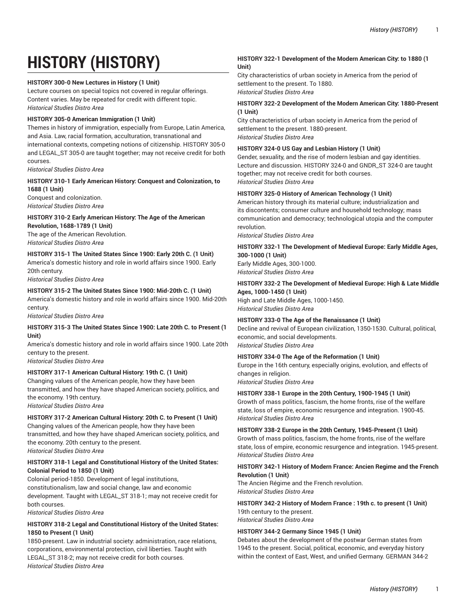# **HISTORY (HISTORY)**

#### **HISTORY 300-0 New Lectures in History (1 Unit)**

Lecture courses on special topics not covered in regular offerings. Content varies. May be repeated for credit with different topic. *Historical Studies Distro Area*

#### **HISTORY 305-0 American Immigration (1 Unit)**

Themes in history of immigration, especially from Europe, Latin America, and Asia. Law, racial formation, acculturation, transnational and international contexts, competing notions of citizenship. HISTORY 305-0 and LEGAL\_ST 305-0 are taught together; may not receive credit for both courses.

*Historical Studies Distro Area*

#### **HISTORY 310-1 Early American History: Conquest and Colonization, to 1688 (1 Unit)**

Conquest and colonization. *Historical Studies Distro Area*

#### **HISTORY 310-2 Early American History: The Age of the American Revolution, 1688-1789 (1 Unit)**

The age of the American Revolution. *Historical Studies Distro Area*

### **HISTORY 315-1 The United States Since 1900: Early 20th C. (1 Unit)** America's domestic history and role in world affairs since 1900. Early

20th century. *Historical Studies Distro Area*

#### **HISTORY 315-2 The United States Since 1900: Mid-20th C. (1 Unit)**

America's domestic history and role in world affairs since 1900. Mid-20th century.

*Historical Studies Distro Area*

#### **HISTORY 315-3 The United States Since 1900: Late 20th C. to Present (1 Unit)**

America's domestic history and role in world affairs since 1900. Late 20th century to the present.

*Historical Studies Distro Area*

#### **HISTORY 317-1 American Cultural History: 19th C. (1 Unit)**

Changing values of the American people, how they have been transmitted, and how they have shaped American society, politics, and the economy. 19th century.

*Historical Studies Distro Area*

# **HISTORY 317-2 American Cultural History: 20th C. to Present (1 Unit)**

Changing values of the American people, how they have been transmitted, and how they have shaped American society, politics, and the economy. 20th century to the present. *Historical Studies Distro Area*

#### **HISTORY 318-1 Legal and Constitutional History of the United States: Colonial Period to 1850 (1 Unit)**

Colonial period-1850. Development of legal institutions, constitutionalism, law and social change, law and economic development. Taught with LEGAL\_ST 318-1; may not receive credit for both courses.

*Historical Studies Distro Area*

#### **HISTORY 318-2 Legal and Constitutional History of the United States: 1850 to Present (1 Unit)**

1850-present. Law in industrial society: administration, race relations, corporations, environmental protection, civil liberties. Taught with LEGAL\_ST 318-2; may not receive credit for both courses. *Historical Studies Distro Area*

#### **HISTORY 322-1 Development of the Modern American City: to 1880 (1 Unit)**

City characteristics of urban society in America from the period of settlement to the present. To 1880. *Historical Studies Distro Area*

#### **HISTORY 322-2 Development of the Modern American City: 1880-Present (1 Unit)**

City characteristics of urban society in America from the period of settlement to the present. 1880-present. *Historical Studies Distro Area*

## **HISTORY 324-0 US Gay and Lesbian History (1 Unit)**

Gender, sexuality, and the rise of modern lesbian and gay identities. Lecture and discussion. HISTORY 324-0 and GNDR\_ST 324-0 are taught together; may not receive credit for both courses. *Historical Studies Distro Area*

## **HISTORY 325-0 History of American Technology (1 Unit)**

American history through its material culture; industrialization and its discontents; consumer culture and household technology; mass communication and democracy; technological utopia and the computer revolution.

*Historical Studies Distro Area*

## **HISTORY 332-1 The Development of Medieval Europe: Early Middle Ages, 300-1000 (1 Unit)**

Early Middle Ages, 300-1000. *Historical Studies Distro Area*

# **HISTORY 332-2 The Development of Medieval Europe: High & Late Middle**

**Ages, 1000-1450 (1 Unit)**  High and Late Middle Ages, 1000-1450. *Historical Studies Distro Area*

#### **HISTORY 333-0 The Age of the Renaissance (1 Unit)**

Decline and revival of European civilization, 1350-1530. Cultural, political, economic, and social developments. *Historical Studies Distro Area*

#### **HISTORY 334-0 The Age of the Reformation (1 Unit)**

Europe in the 16th century, especially origins, evolution, and effects of changes in religion.

*Historical Studies Distro Area*

#### **HISTORY 338-1 Europe in the 20th Century, 1900-1945 (1 Unit)**

Growth of mass politics, fascism, the home fronts, rise of the welfare state, loss of empire, economic resurgence and integration. 1900-45. *Historical Studies Distro Area*

# **HISTORY 338-2 Europe in the 20th Century, 1945-Present (1 Unit)**

Growth of mass politics, fascism, the home fronts, rise of the welfare state, loss of empire, economic resurgence and integration. 1945-present. *Historical Studies Distro Area*

#### **HISTORY 342-1 History of Modern France: Ancien Regime and the French Revolution (1 Unit)**

The Ancien Régime and the French revolution. *Historical Studies Distro Area*

## **HISTORY 342-2 History of Modern France : 19th c. to present (1 Unit)** 19th century to the present.

*Historical Studies Distro Area*

#### **HISTORY 344-2 Germany Since 1945 (1 Unit)**

Debates about the development of the postwar German states from 1945 to the present. Social, political, economic, and everyday history within the context of East, West, and unified Germany. GERMAN 344-2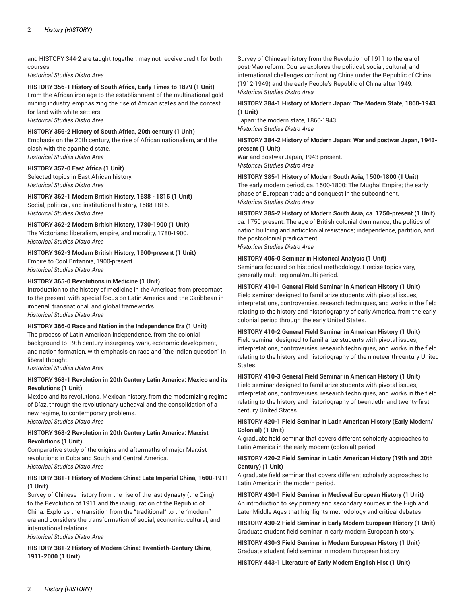and HISTORY 344-2 are taught together; may not receive credit for both courses.

*Historical Studies Distro Area*

#### **HISTORY 356-1 History of South Africa, Early Times to 1879 (1 Unit)**

From the African iron age to the establishment of the multinational gold mining industry, emphasizing the rise of African states and the contest for land with white settlers. *Historical Studies Distro Area*

#### **HISTORY 356-2 History of South Africa, 20th century (1 Unit)**

Emphasis on the 20th century, the rise of African nationalism, and the clash with the apartheid state. *Historical Studies Distro Area*

#### **HISTORY 357-0 East Africa (1 Unit)**

Selected topics in East African history. *Historical Studies Distro Area*

#### **HISTORY 362-1 Modern British History, 1688 - 1815 (1 Unit)**

Social, political, and institutional history, 1688-1815. *Historical Studies Distro Area*

# **HISTORY 362-2 Modern British History, 1780-1900 (1 Unit)**

The Victorians: liberalism, empire, and morality, 1780-1900. *Historical Studies Distro Area*

#### **HISTORY 362-3 Modern British History, 1900-present (1 Unit)** Empire to Cool Britannia, 1900-present.

*Historical Studies Distro Area*

#### **HISTORY 365-0 Revolutions in Medicine (1 Unit)**

Introduction to the history of medicine in the Americas from precontact to the present, with special focus on Latin America and the Caribbean in imperial, transnational, and global frameworks. *Historical Studies Distro Area*

#### **HISTORY 366-0 Race and Nation in the Independence Era (1 Unit)**

The process of Latin American independence, from the colonial background to 19th century insurgency wars, economic development, and nation formation, with emphasis on race and "the Indian question" in liberal thought.

*Historical Studies Distro Area*

#### **HISTORY 368-1 Revolution in 20th Century Latin America: Mexico and its Revolutions (1 Unit)**

Mexico and its revolutions. Mexican history, from the modernizing regime of Díaz, through the revolutionary upheaval and the consolidation of a new regime, to contemporary problems. *Historical Studies Distro Area*

#### **HISTORY 368-2 Revolution in 20th Century Latin America: Marxist Revolutions (1 Unit)**

Comparative study of the origins and aftermaths of major Marxist revolutions in Cuba and South and Central America. *Historical Studies Distro Area*

#### **HISTORY 381-1 History of Modern China: Late Imperial China, 1600-1911 (1 Unit)**

Survey of Chinese history from the rise of the last dynasty (the Qing) to the Revolution of 1911 and the inauguration of the Republic of China. Explores the transition from the "traditional" to the "modern" era and considers the transformation of social, economic, cultural, and international relations.

*Historical Studies Distro Area*

#### **HISTORY 381-2 History of Modern China: Twentieth-Century China, 1911-2000 (1 Unit)**

Survey of Chinese history from the Revolution of 1911 to the era of post-Mao reform. Course explores the political, social, cultural, and international challenges confronting China under the Republic of China (1912-1949) and the early People's Republic of China after 1949. *Historical Studies Distro Area*

#### **HISTORY 384-1 History of Modern Japan: The Modern State, 1860-1943 (1 Unit)**

Japan: the modern state, 1860-1943. *Historical Studies Distro Area*

#### **HISTORY 384-2 History of Modern Japan: War and postwar Japan, 1943 present (1 Unit)**

War and postwar Japan, 1943-present. *Historical Studies Distro Area*

#### **HISTORY 385-1 History of Modern South Asia, 1500-1800 (1 Unit)**

The early modern period, ca. 1500-1800: The Mughal Empire; the early phase of European trade and conquest in the subcontinent. *Historical Studies Distro Area*

# **HISTORY 385-2 History of Modern South Asia, ca. 1750-present (1 Unit)**

ca. 1750-present: The age of British colonial dominance; the politics of nation building and anticolonial resistance; independence, partition, and the postcolonial predicament.

*Historical Studies Distro Area*

#### **HISTORY 405-0 Seminar in Historical Analysis (1 Unit)**

Seminars focused on historical methodology. Precise topics vary, generally multi-regional/multi-period.

#### **HISTORY 410-1 General Field Seminar in American History (1 Unit)**

Field seminar designed to familiarize students with pivotal issues, interpretations, controversies, research techniques, and works in the field relating to the history and historiography of early America, from the early colonial period through the early United States.

#### **HISTORY 410-2 General Field Seminar in American History (1 Unit)**

Field seminar designed to familiarize students with pivotal issues, interpretations, controversies, research techniques, and works in the field relating to the history and historiography of the nineteenth-century United States.

#### **HISTORY 410-3 General Field Seminar in American History (1 Unit)**

Field seminar designed to familiarize students with pivotal issues, interpretations, controversies, research techniques, and works in the field relating to the history and historiography of twentieth- and twenty-first century United States.

#### **HISTORY 420-1 Field Seminar in Latin American History (Early Modern/ Colonial) (1 Unit)**

A graduate field seminar that covers different scholarly approaches to Latin America in the early modern (colonial) period.

#### **HISTORY 420-2 Field Seminar in Latin American History (19th and 20th Century) (1 Unit)**

A graduate field seminar that covers different scholarly approaches to Latin America in the modern period.

**HISTORY 430-1 Field Seminar in Medieval European History (1 Unit)** An introduction to key primary and secondary sources in the High and Later Middle Ages that highlights methodology and critical debates.

**HISTORY 430-2 Field Seminar in Early Modern European History (1 Unit)** Graduate student field seminar in early modern European history.

**HISTORY 430-3 Field Seminar in Modern European History (1 Unit)** Graduate student field seminar in modern European history.

**HISTORY 443-1 Literature of Early Modern English Hist (1 Unit)**